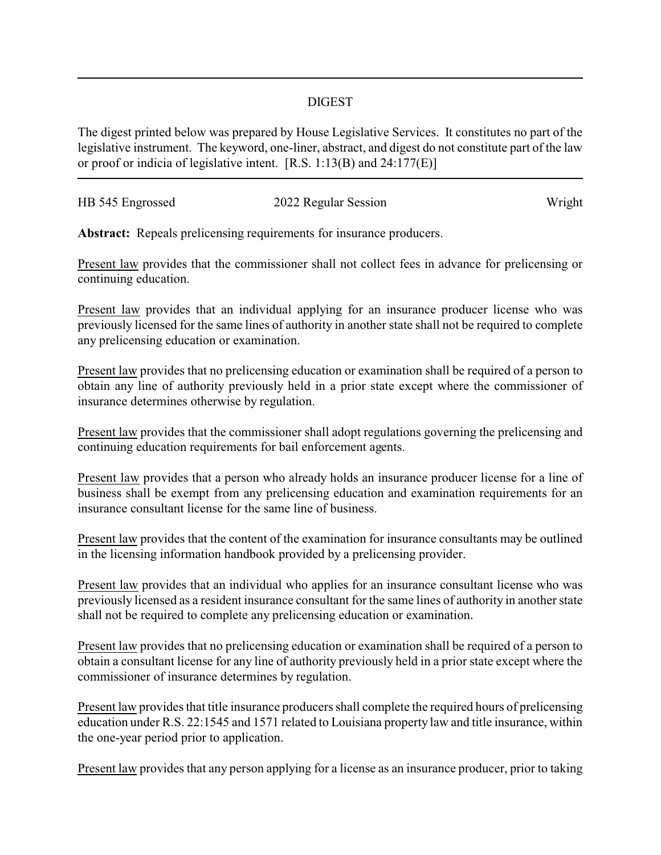## DIGEST

The digest printed below was prepared by House Legislative Services. It constitutes no part of the legislative instrument. The keyword, one-liner, abstract, and digest do not constitute part of the law or proof or indicia of legislative intent. [R.S. 1:13(B) and 24:177(E)]

| HB 545 Engrossed | 2022 Regular Session | Wright |
|------------------|----------------------|--------|
|                  |                      |        |

**Abstract:** Repeals prelicensing requirements for insurance producers.

Present law provides that the commissioner shall not collect fees in advance for prelicensing or continuing education.

Present law provides that an individual applying for an insurance producer license who was previously licensed for the same lines of authority in another state shall not be required to complete any prelicensing education or examination.

Present law provides that no prelicensing education or examination shall be required of a person to obtain any line of authority previously held in a prior state except where the commissioner of insurance determines otherwise by regulation.

Present law provides that the commissioner shall adopt regulations governing the prelicensing and continuing education requirements for bail enforcement agents.

Present law provides that a person who already holds an insurance producer license for a line of business shall be exempt from any prelicensing education and examination requirements for an insurance consultant license for the same line of business.

Present law provides that the content of the examination for insurance consultants may be outlined in the licensing information handbook provided by a prelicensing provider.

Present law provides that an individual who applies for an insurance consultant license who was previously licensed as a resident insurance consultant for the same lines of authority in another state shall not be required to complete any prelicensing education or examination.

Present law provides that no prelicensing education or examination shall be required of a person to obtain a consultant license for any line of authority previously held in a prior state except where the commissioner of insurance determines by regulation.

Present law provides that title insurance producers shall complete the required hours of prelicensing education under R.S. 22:1545 and 1571 related to Louisiana property law and title insurance, within the one-year period prior to application.

Present law provides that any person applying for a license as an insurance producer, prior to taking